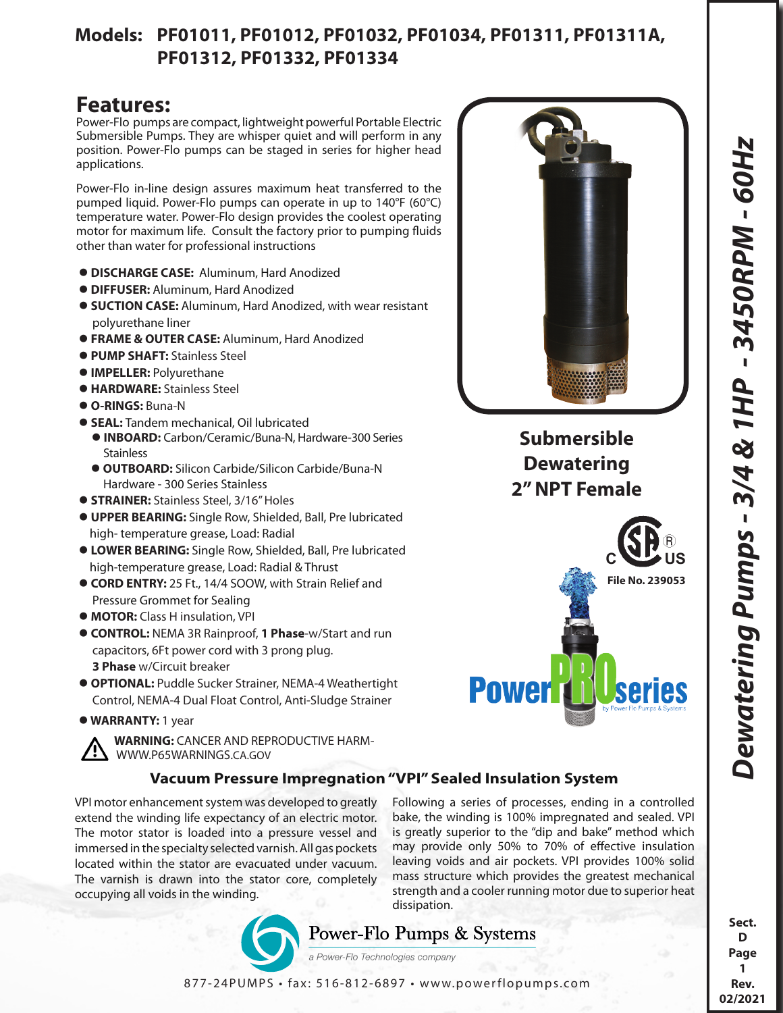### **Models: PF01011, PF01012, PF01032, PF01034, PF01311, PF01311A, PF01312, PF01332, PF01334**

# **Features:**

Power-Flo pumps are compact, lightweight powerful Portable Electric Submersible Pumps. They are whisper quiet and will perform in any position. Power-Flo pumps can be staged in series for higher head applications.

Power-Flo in-line design assures maximum heat transferred to the pumped liquid. Power-Flo pumps can operate in up to 140°F (60°C) temperature water. Power-Flo design provides the coolest operating motor for maximum life. Consult the factory prior to pumping fluids other than water for professional instructions

- **DISCHARGE CASE:** Aluminum, Hard Anodized
- **DIFFUSER:** Aluminum, Hard Anodized
- **SUCTION CASE:** Aluminum, Hard Anodized, with wear resistant polyurethane liner
- **FRAME & OUTER CASE:** Aluminum, Hard Anodized
- **PUMP SHAFT:** Stainless Steel
- **IMPELLER:** Polyurethane
- **HARDWARE:** Stainless Steel
- **O-RINGS:** Buna-N
- **SEAL:** Tandem mechanical, Oil lubricated
	- **INBOARD:** Carbon/Ceramic/Buna-N, Hardware-300 Series **Stainless**
	- **OUTBOARD:** Silicon Carbide/Silicon Carbide/Buna-N Hardware - 300 Series Stainless
- **STRAINER:** Stainless Steel, 3/16" Holes
- **UPPER BEARING:** Single Row, Shielded, Ball, Pre lubricated high- temperature grease, Load: Radial
- **LOWER BEARING:** Single Row, Shielded, Ball, Pre lubricated high-temperature grease, Load: Radial & Thrust
- **CORD ENTRY:** 25 Ft., 14/4 SOOW, with Strain Relief and Pressure Grommet for Sealing
- **MOTOR:** Class H insulation, VPI
- **CONTROL:** NEMA 3R Rainproof, **1 Phase**-w/Start and run capacitors, 6Ft power cord with 3 prong plug. **3 Phase** w/Circuit breaker
- **OPTIONAL:** Puddle Sucker Strainer, NEMA-4 Weathertight Control, NEMA-4 Dual Float Control, Anti-Sludge Strainer
- **WARRANTY:** 1 year

 **WARNING:** CANCER AND REPRODUCTIVE HARM- WWW.P65WARNINGS.CA.GOV

### **Vacuum Pressure Impregnation "VPI" Sealed Insulation System**

VPI motor enhancement system was developed to greatly extend the winding life expectancy of an electric motor. The motor stator is loaded into a pressure vessel and immersed in the specialty selected varnish. All gas pockets located within the stator are evacuated under vacuum. The varnish is drawn into the stator core, completely occupying all voids in the winding.

Following a series of processes, ending in a controlled bake, the winding is 100% impregnated and sealed. VPI is greatly superior to the "dip and bake" method which may provide only 50% to 70% of effective insulation leaving voids and air pockets. VPI provides 100% solid mass structure which provides the greatest mechanical strength and a cooler running motor due to superior heat dissipation.





**Dewatering 2" NPT Female** *Dewatering Pumps - 3/4 & 1HP - 3450RPM - 60Hz*

Dewatering Pumps - 3/4 & 1HP - 3450RPM - 60Hz

**Sect. D Page 1 Rev. 02/2021**

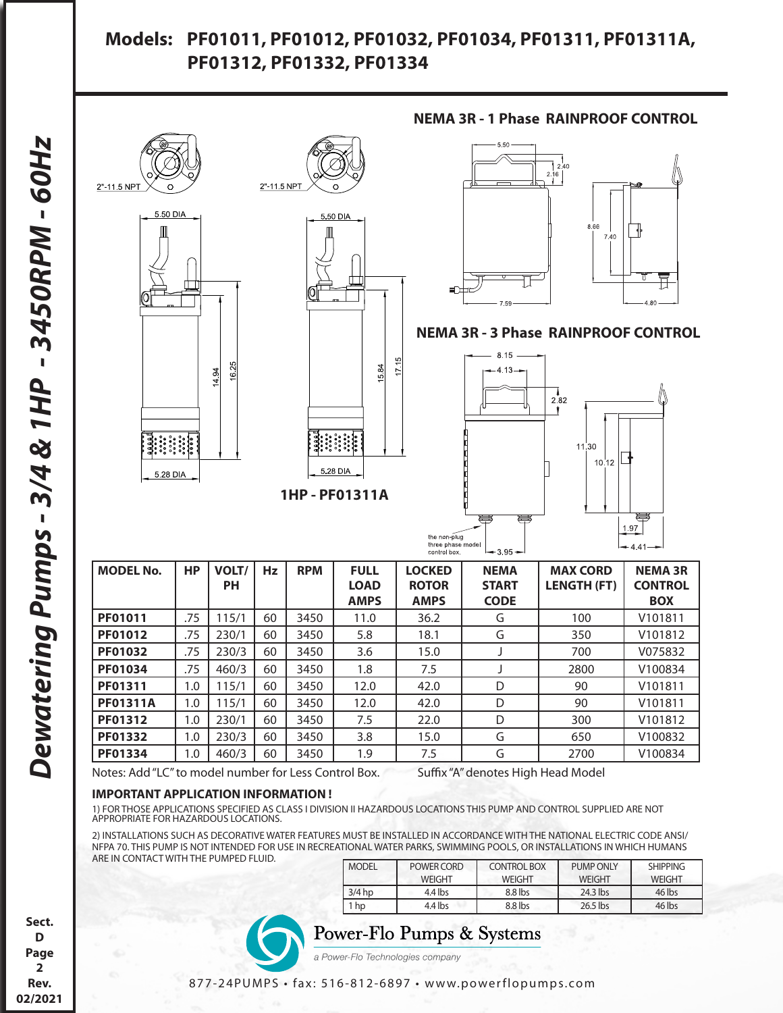### **Models: PF01011, PF01012, PF01032, PF01034, PF01311, PF01311A, PF01312, PF01332, PF01334**



Notes: Add "LC" to model number for Less Control Box. Suffix "A" denotes High Head Model

#### **IMPORTANT APPLICATION INFORMATION !**

1) FOR THOSE APPLICATIONS SPECIFIED AS CLASS I DIVISION II HAZARDOUS LOCATIONS THIS PUMP AND CONTROL SUPPLIED ARE NOT APPROPRIATE FOR HAZARDOUS LOCATIONS.

2) INSTALLATIONS SUCH AS DECORATIVE WATER FEATURES MUST BE INSTALLED IN ACCORDANCE WITH THE NATIONAL ELECTRIC CODE ANSI/ NFPA 70. THIS PUMP IS NOT INTENDED FOR USE IN RECREATIONAL WATER PARKS, SWIMMING POOLS, OR INSTALLATIONS IN WHICH HUMANS ARE IN CONTACT WITH THE PUMPED FLUID.

| <b>MODEL</b> | POWER CORD    | <b>CONTROL BOX</b> | PUMP ONLY     | <b>SHIPPING</b> |
|--------------|---------------|--------------------|---------------|-----------------|
|              | <b>WEIGHT</b> | <b>WEIGHT</b>      | <b>WFIGHT</b> | <b>WEIGHT</b>   |
| $3/4$ hp     | $4.4$ lbs     | $8.8$ lbs          | $24.3$ lbs    | 46 lbs          |
| hp           | $4.4$ lbs     | $8.8$ lbs          | $26.5$ lbs    | 46 lbs          |

### Power-Flo Pumps & Systems

a Power-Flo Technologies company

**Sect. D Page 2 Rev. 02/2021**

#### 877-24PUMPS • fax: 516-812-6897 • www.powerflopumps.com